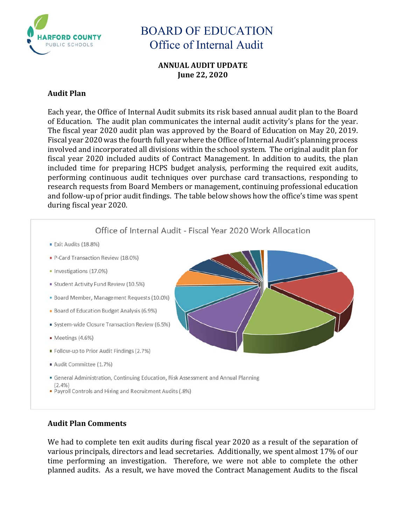

**ANNUAL AUDIT UPDATE June 22, 2020**

### **Audit Plan**

Each year, the Office of Internal Audit submits its risk based annual audit plan to the Board of Education. The audit plan communicates the internal audit activity's plans for the year. The fiscal year 2020 audit plan was approved by the Board of Education on May 20, 2019. Fiscal year 2020 was the fourth full year where the Office of Internal Audit's planning process involved and incorporated all divisions within the school system. The original audit plan for fiscal year 2020 included audits of Contract Management. In addition to audits, the plan included time for preparing HCPS budget analysis, performing the required exit audits, performing continuous audit techniques over purchase card transactions, responding to research requests from Board Members or management, continuing professional education and follow-up of prior audit findings. The table below shows how the office's time was spent during fiscal year 2020.



### **Audit Plan Comments**

We had to complete ten exit audits during fiscal year 2020 as a result of the separation of various principals, directors and lead secretaries. Additionally, we spent almost 17% of our time performing an investigation. Therefore, we were not able to complete the other planned audits. As a result, we have moved the Contract Management Audits to the fiscal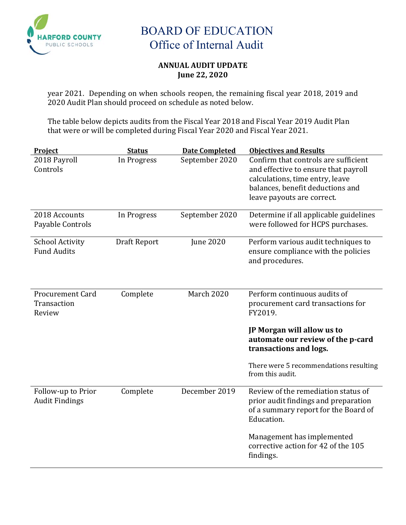

### **ANNUAL AUDIT UPDATE June 22, 2020**

year 2021. Depending on when schools reopen, the remaining fiscal year 2018, 2019 and 2020 Audit Plan should proceed on schedule as noted below.

The table below depicts audits from the Fiscal Year 2018 and Fiscal Year 2019 Audit Plan that were or will be completed during Fiscal Year 2020 and Fiscal Year 2021.

| Project                                          | <b>Status</b> | <b>Date Completed</b> | <b>Objectives and Results</b>                                                                                                                                                     |
|--------------------------------------------------|---------------|-----------------------|-----------------------------------------------------------------------------------------------------------------------------------------------------------------------------------|
| 2018 Payroll<br>Controls                         | In Progress   | September 2020        | Confirm that controls are sufficient<br>and effective to ensure that payroll<br>calculations, time entry, leave<br>balances, benefit deductions and<br>leave payouts are correct. |
|                                                  |               |                       |                                                                                                                                                                                   |
| 2018 Accounts<br>Payable Controls                | In Progress   | September 2020        | Determine if all applicable guidelines<br>were followed for HCPS purchases.                                                                                                       |
| <b>School Activity</b><br><b>Fund Audits</b>     | Draft Report  | <b>June 2020</b>      | Perform various audit techniques to<br>ensure compliance with the policies<br>and procedures.                                                                                     |
| <b>Procurement Card</b><br>Transaction<br>Review | Complete      | <b>March 2020</b>     | Perform continuous audits of<br>procurement card transactions for<br>FY2019.                                                                                                      |
|                                                  |               |                       | JP Morgan will allow us to<br>automate our review of the p-card<br>transactions and logs.                                                                                         |
|                                                  |               |                       | There were 5 recommendations resulting<br>from this audit.                                                                                                                        |
| Follow-up to Prior<br><b>Audit Findings</b>      | Complete      | December 2019         | Review of the remediation status of<br>prior audit findings and preparation<br>of a summary report for the Board of<br>Education.                                                 |
|                                                  |               |                       | Management has implemented<br>corrective action for 42 of the 105<br>findings.                                                                                                    |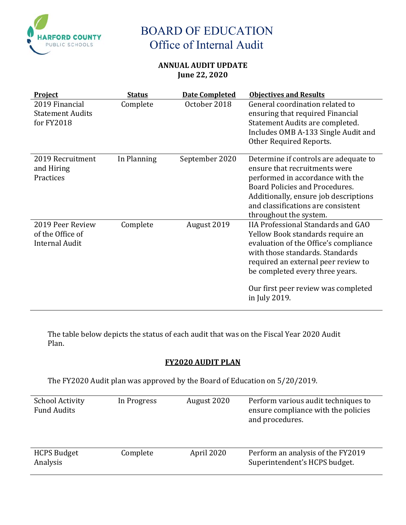

### **ANNUAL AUDIT UPDATE June 22, 2020**

| <b>Project</b>                                                | <b>Status</b> | <b>Date Completed</b> | <b>Objectives and Results</b>                                                                                                                                                                                                                                                               |
|---------------------------------------------------------------|---------------|-----------------------|---------------------------------------------------------------------------------------------------------------------------------------------------------------------------------------------------------------------------------------------------------------------------------------------|
| 2019 Financial<br><b>Statement Audits</b><br>for FY2018       | Complete      | October 2018          | General coordination related to<br>ensuring that required Financial<br>Statement Audits are completed.<br>Includes OMB A-133 Single Audit and<br>Other Required Reports.                                                                                                                    |
| 2019 Recruitment<br>and Hiring<br>Practices                   | In Planning   | September 2020        | Determine if controls are adequate to<br>ensure that recruitments were<br>performed in accordance with the<br>Board Policies and Procedures.<br>Additionally, ensure job descriptions<br>and classifications are consistent<br>throughout the system.                                       |
| 2019 Peer Review<br>of the Office of<br><b>Internal Audit</b> | Complete      | August 2019           | <b>IIA Professional Standards and GAO</b><br>Yellow Book standards require an<br>evaluation of the Office's compliance<br>with those standards. Standards<br>required an external peer review to<br>be completed every three years.<br>Our first peer review was completed<br>in July 2019. |

The table below depicts the status of each audit that was on the Fiscal Year 2020 Audit Plan.

### **FY2020 AUDIT PLAN**

The FY2020 Audit plan was approved by the Board of Education on 5/20/2019.

| <b>School Activity</b><br><b>Fund Audits</b> | In Progress | August 2020 | Perform various audit techniques to<br>ensure compliance with the policies<br>and procedures. |
|----------------------------------------------|-------------|-------------|-----------------------------------------------------------------------------------------------|
| <b>HCPS Budget</b><br>Analysis               | Complete    | April 2020  | Perform an analysis of the FY2019<br>Superintendent's HCPS budget.                            |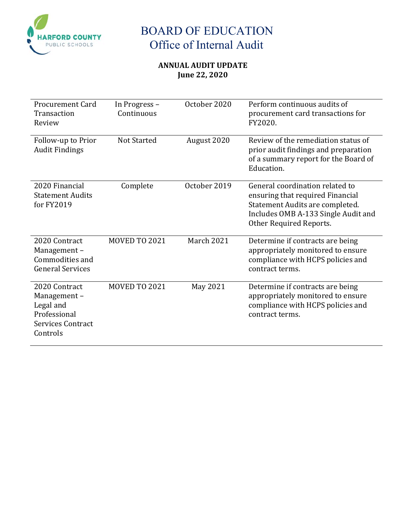

### **ANNUAL AUDIT UPDATE June 22, 2020**

| <b>Procurement Card</b><br>Transaction<br>Review                                                  | In Progress -<br>Continuous | October 2020 | Perform continuous audits of<br>procurement card transactions for<br>FY2020.                                                                                             |
|---------------------------------------------------------------------------------------------------|-----------------------------|--------------|--------------------------------------------------------------------------------------------------------------------------------------------------------------------------|
| Follow-up to Prior<br><b>Audit Findings</b>                                                       | <b>Not Started</b>          | August 2020  | Review of the remediation status of<br>prior audit findings and preparation<br>of a summary report for the Board of<br>Education.                                        |
| 2020 Financial<br><b>Statement Audits</b><br>for FY2019                                           | Complete                    | October 2019 | General coordination related to<br>ensuring that required Financial<br>Statement Audits are completed.<br>Includes OMB A-133 Single Audit and<br>Other Required Reports. |
| 2020 Contract<br>Management-<br>Commodities and<br><b>General Services</b>                        | <b>MOVED TO 2021</b>        | March 2021   | Determine if contracts are being<br>appropriately monitored to ensure<br>compliance with HCPS policies and<br>contract terms.                                            |
| 2020 Contract<br>Management-<br>Legal and<br>Professional<br><b>Services Contract</b><br>Controls | <b>MOVED TO 2021</b>        | May 2021     | Determine if contracts are being<br>appropriately monitored to ensure<br>compliance with HCPS policies and<br>contract terms.                                            |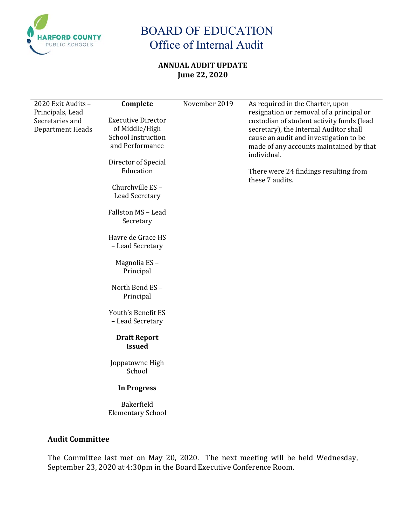

### **ANNUAL AUDIT UPDATE June 22, 2020**

| 2020 Exit Audits -<br>Principals, Lead<br>Secretaries and<br>Department Heads | Complete<br><b>Executive Director</b><br>of Middle/High<br><b>School Instruction</b><br>and Performance<br>Director of Special<br>Education<br>Churchville ES-<br><b>Lead Secretary</b><br>Fallston MS - Lead<br>Secretary<br>Havre de Grace HS<br>- Lead Secretary<br>Magnolia ES-<br>Principal<br>North Bend ES-<br>Principal<br>Youth's Benefit ES<br>- Lead Secretary<br><b>Draft Report</b><br><b>Issued</b><br>Joppatowne High<br>School<br><b>In Progress</b><br>Bakerfield<br><b>Elementary School</b> | November 2019 | As required in the Charter, upon<br>resignation or removal of a principal or<br>custodian of student activity funds (lead<br>secretary), the Internal Auditor shall<br>cause an audit and investigation to be<br>made of any accounts maintained by that<br>individual.<br>There were 24 findings resulting from<br>these 7 audits. |
|-------------------------------------------------------------------------------|----------------------------------------------------------------------------------------------------------------------------------------------------------------------------------------------------------------------------------------------------------------------------------------------------------------------------------------------------------------------------------------------------------------------------------------------------------------------------------------------------------------|---------------|-------------------------------------------------------------------------------------------------------------------------------------------------------------------------------------------------------------------------------------------------------------------------------------------------------------------------------------|
|                                                                               |                                                                                                                                                                                                                                                                                                                                                                                                                                                                                                                |               |                                                                                                                                                                                                                                                                                                                                     |

### **Audit Committee**

The Committee last met on May 20, 2020. The next meeting will be held Wednesday, September 23, 2020 at 4:30pm in the Board Executive Conference Room.